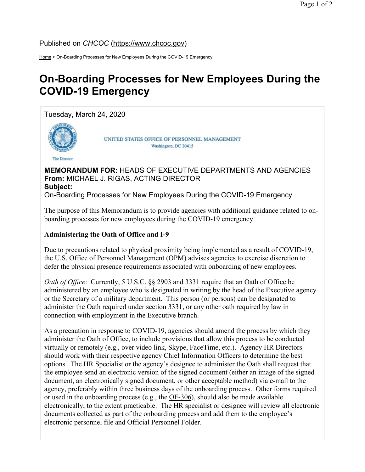Published on CHCOC (https://www.chcoc.gov)

Home > On-Boarding Processes for New Employees During the COVID-19 Emergency

## On-Boarding Processes for New Employees During the COVID-19 Emergency

Tuesday, March 24, 2020



**The Director** 

UNITED STATES OFFICE OF PERSONNEL MANAGEMENT Washington, DC 20415

## MEMORANDUM FOR: HEADS OF EXECUTIVE DEPARTMENTS AND AGENCIES From: MICHAEL J. RIGAS, ACTING DIRECTOR Subject: On-Boarding Processes for New Employees During the COVID-19 Emergency

The purpose of this Memorandum is to provide agencies with additional guidance related to onboarding processes for new employees during the COVID-19 emergency.

## Administering the Oath of Office and I-9

Due to precautions related to physical proximity being implemented as a result of COVID-19, the U.S. Office of Personnel Management (OPM) advises agencies to exercise discretion to defer the physical presence requirements associated with onboarding of new employees.

Oath of Office: Currently, 5 U.S.C. §§ 2903 and 3331 require that an Oath of Office be administered by an employee who is designated in writing by the head of the Executive agency or the Secretary of a military department. This person (or persons) can be designated to administer the Oath required under section 3331, or any other oath required by law in connection with employment in the Executive branch.

As a precaution in response to COVID-19, agencies should amend the process by which they administer the Oath of Office, to include provisions that allow this process to be conducted virtually or remotely (e.g., over video link, Skype, FaceTime, etc.). Agency HR Directors should work with their respective agency Chief Information Officers to determine the best options. The HR Specialist or the agency's designee to administer the Oath shall request that the employee send an electronic version of the signed document (either an image of the signed document, an electronically signed document, or other acceptable method) via e-mail to the agency, preferably within three business days of the onboarding process. Other forms required or used in the onboarding process (e.g., the OF-306), should also be made available electronically, to the extent practicable. The HR specialist or designee will review all electronic documents collected as part of the onboarding process and add them to the employee's electronic personnel file and Official Personnel Folder.